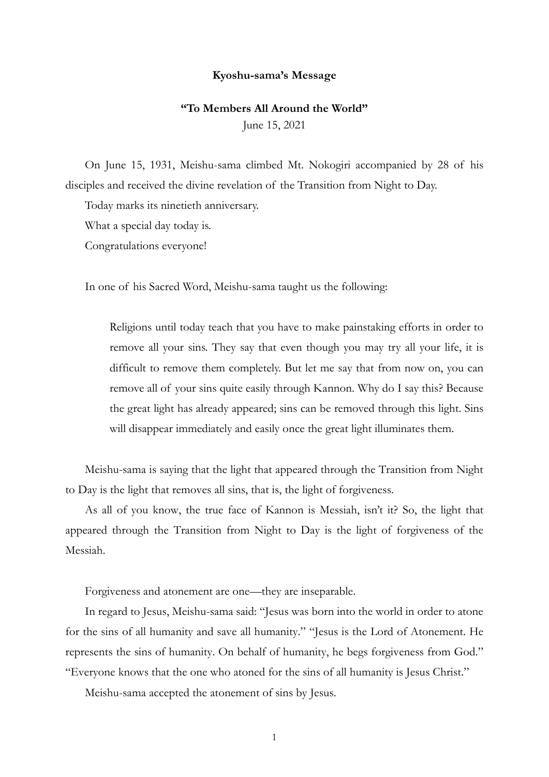## **Kyoshu-sama's Message**

## **"To Members All Around the World"**

June 15, 2021

On June 15, 1931, Meishu-sama climbed Mt. Nokogiri accompanied by 28 of his disciples and received the divine revelation of the Transition from Night to Day.

Today marks its ninetieth anniversary.

What a special day today is.

Congratulations everyone!

In one of his Sacred Word, Meishu-sama taught us the following:

Religions until today teach that you have to make painstaking efforts in order to remove all your sins. They say that even though you may try all your life, it is difficult to remove them completely. But let me say that from now on, you can remove all of your sins quite easily through Kannon. Why do I say this? Because the great light has already appeared; sins can be removed through this light. Sins will disappear immediately and easily once the great light illuminates them.

Meishu-sama is saying that the light that appeared through the Transition from Night to Day is the light that removes all sins, that is, the light of forgiveness.

As all of you know, the true face of Kannon is Messiah, isn't it? So, the light that appeared through the Transition from Night to Day is the light of forgiveness of the Messiah.

Forgiveness and atonement are one—they are inseparable.

In regard to Jesus, Meishu-sama said: "Jesus was born into the world in order to atone for the sins of all humanity and save all humanity." "Jesus is the Lord of Atonement. He represents the sins of humanity. On behalf of humanity, he begs forgiveness from God." "Everyone knows that the one who atoned for the sins of all humanity is Jesus Christ."

Meishu-sama accepted the atonement of sins by Jesus.